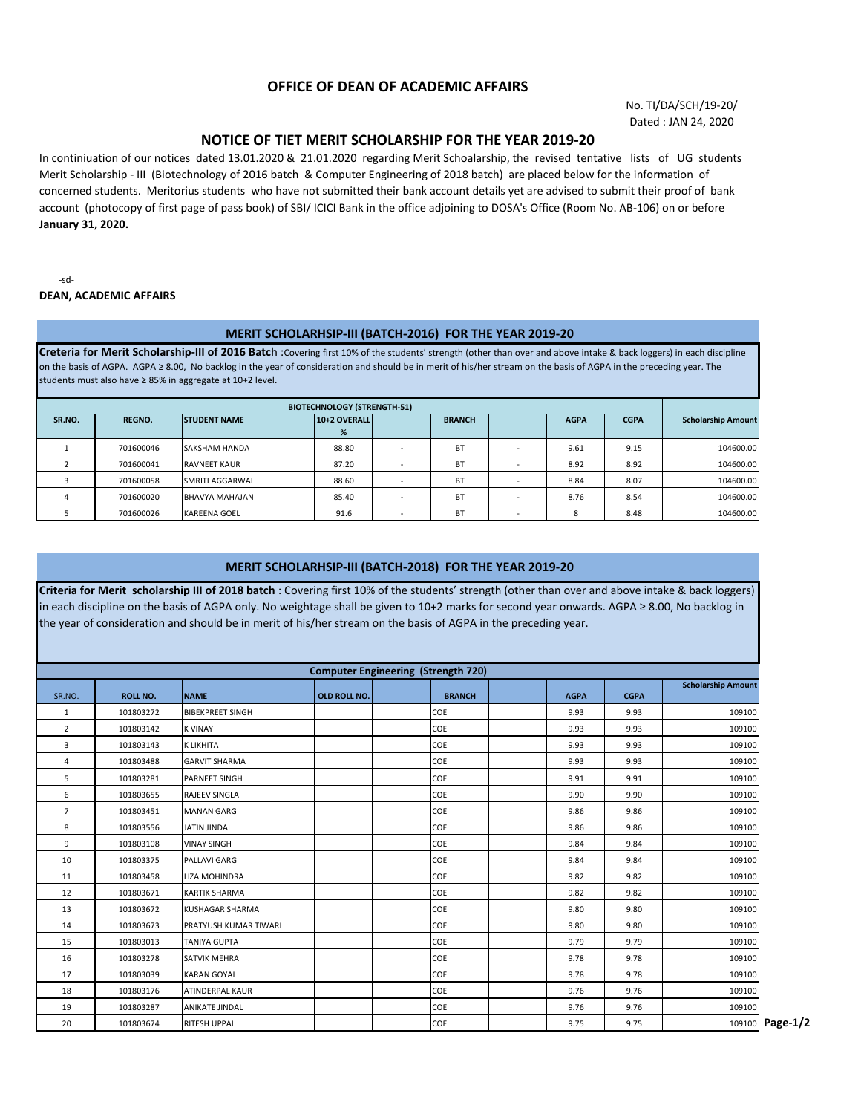## **OFFICE OF DEAN OF ACADEMIC AFFAIRS**

No. TI/DA/SCH/19-20/ Dated : JAN 24, 2020

## **NOTICE OF TIET MERIT SCHOLARSHIP FOR THE YEAR 2019-20**

In continiuation of our notices dated 13.01.2020 & 21.01.2020 regarding Merit Schoalarship, the revised tentative lists of UG students Merit Scholarship - III (Biotechnology of 2016 batch & Computer Engineering of 2018 batch) are placed below for the information of concerned students. Meritorius students who have not submitted their bank account details yet are advised to submit their proof of bank account (photocopy of first page of pass book) of SBI/ ICICI Bank in the office adjoining to DOSA's Office (Room No. AB-106) on or before **January 31, 2020.**

-sd-**DEAN, ACADEMIC AFFAIRS**

## **MERIT SCHOLARHSIP-III (BATCH-2016) FOR THE YEAR 2019-20**

**Creteria for Merit Scholarship-III of 2016 Batc**h :Covering first 10% of the students' strength (other than over and above intake & back loggers) in each discipline on the basis of AGPA. AGPA ≥ 8.00, No backlog in the year of consideration and should be in merit of his/her stream on the basis of AGPA in the preceding year. The students must also have ≥ 85% in aggregate at 10+2 level.

| <b>BIOTECHNOLOGY (STRENGTH-51)</b> |               |                      |                   |                          |               |  |             |             |                           |
|------------------------------------|---------------|----------------------|-------------------|--------------------------|---------------|--|-------------|-------------|---------------------------|
| SR.NO.                             | <b>REGNO.</b> | <b>STUDENT NAME</b>  | 10+2 OVERALL<br>% |                          | <b>BRANCH</b> |  | <b>AGPA</b> | <b>CGPA</b> | <b>Scholarship Amount</b> |
|                                    |               |                      |                   |                          |               |  |             |             |                           |
|                                    | 701600046     | <b>SAKSHAM HANDA</b> | 88.80             |                          | <b>BT</b>     |  | 9.61        | 9.15        | 104600.00                 |
|                                    | 701600041     | <b>RAVNEET KAUR</b>  | 87.20             |                          | <b>BT</b>     |  | 8.92        | 8.92        | 104600.00                 |
|                                    | 701600058     | SMRITI AGGARWAL      | 88.60             |                          | BT            |  | 8.84        | 8.07        | 104600.00                 |
|                                    | 701600020     | BHAVYA MAHAJAN       | 85.40             |                          | <b>BT</b>     |  | 8.76        | 8.54        | 104600.00                 |
|                                    | 701600026     | <b>KAREENA GOEL</b>  | 91.6              | $\overline{\phantom{a}}$ | <b>BT</b>     |  |             | 8.48        | 104600.00                 |

## **MERIT SCHOLARHSIP-III (BATCH-2018) FOR THE YEAR 2019-20**

**Criteria for Merit scholarship III of 2018 batch** : Covering first 10% of the students' strength (other than over and above intake & back loggers) in each discipline on the basis of AGPA only. No weightage shall be given to 10+2 marks for second year onwards. AGPA ≥ 8.00, No backlog in the year of consideration and should be in merit of his/her stream on the basis of AGPA in the preceding year.

| <b>Computer Engineering (Strength 720)</b> |                 |                         |              |               |  |             |             |                           |
|--------------------------------------------|-----------------|-------------------------|--------------|---------------|--|-------------|-------------|---------------------------|
| SR.NO.                                     | <b>ROLL NO.</b> | <b>NAME</b>             | OLD ROLL NO. | <b>BRANCH</b> |  | <b>AGPA</b> | <b>CGPA</b> | <b>Scholarship Amount</b> |
| $\mathbf{1}$                               | 101803272       | <b>BIBEKPREET SINGH</b> |              | COE           |  | 9.93        | 9.93        | 109100                    |
| $\overline{2}$                             | 101803142       | <b>K VINAY</b>          |              | COE           |  | 9.93        | 9.93        | 109100                    |
| 3                                          | 101803143       | <b>K LIKHITA</b>        |              | COE           |  | 9.93        | 9.93        | 109100                    |
| 4                                          | 101803488       | <b>GARVIT SHARMA</b>    |              | COE           |  | 9.93        | 9.93        | 109100                    |
| 5                                          | 101803281       | <b>PARNEET SINGH</b>    |              | COE           |  | 9.91        | 9.91        | 109100                    |
| 6                                          | 101803655       | <b>RAJEEV SINGLA</b>    |              | COE           |  | 9.90        | 9.90        | 109100                    |
| $\overline{7}$                             | 101803451       | <b>MANAN GARG</b>       |              | COE           |  | 9.86        | 9.86        | 109100                    |
| 8                                          | 101803556       | <b>JATIN JINDAL</b>     |              | COE           |  | 9.86        | 9.86        | 109100                    |
| 9                                          | 101803108       | <b>VINAY SINGH</b>      |              | COE           |  | 9.84        | 9.84        | 109100                    |
| 10                                         | 101803375       | <b>PALLAVI GARG</b>     |              | COE           |  | 9.84        | 9.84        | 109100                    |
| 11                                         | 101803458       | <b>LIZA MOHINDRA</b>    |              | COE           |  | 9.82        | 9.82        | 109100                    |
| 12                                         | 101803671       | <b>KARTIK SHARMA</b>    |              | COE           |  | 9.82        | 9.82        | 109100                    |
| 13                                         | 101803672       | KUSHAGAR SHARMA         |              | COE           |  | 9.80        | 9.80        | 109100                    |
| 14                                         | 101803673       | PRATYUSH KUMAR TIWARI   |              | COE           |  | 9.80        | 9.80        | 109100                    |
| 15                                         | 101803013       | <b>TANIYA GUPTA</b>     |              | COE           |  | 9.79        | 9.79        | 109100                    |
| 16                                         | 101803278       | <b>SATVIK MEHRA</b>     |              | COE           |  | 9.78        | 9.78        | 109100                    |
| 17                                         | 101803039       | <b>KARAN GOYAL</b>      |              | COE           |  | 9.78        | 9.78        | 109100                    |
| 18                                         | 101803176       | <b>ATINDERPAL KAUR</b>  |              | COE           |  | 9.76        | 9.76        | 109100                    |
| 19                                         | 101803287       | <b>ANIKATE JINDAL</b>   |              | COE           |  | 9.76        | 9.76        | 109100                    |
| 20                                         | 101803674       | <b>RITESH UPPAL</b>     |              | COE           |  | 9.75        | 9.75        | 109100 Page-1/2           |